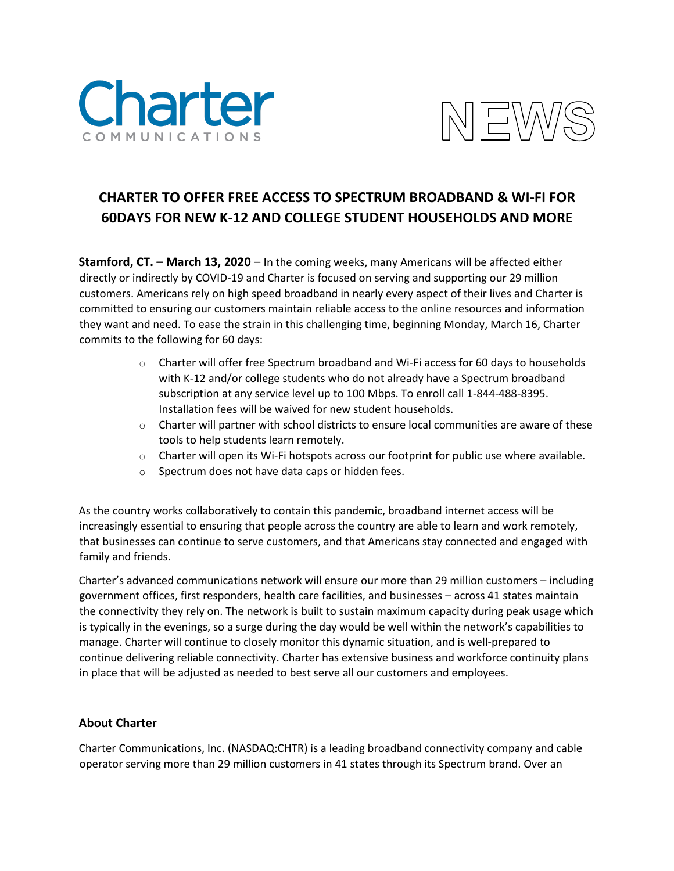



## **CHARTER TO OFFER FREE ACCESS TO SPECTRUM BROADBAND & WI-FI FOR 60DAYS FOR NEW K-12 AND COLLEGE STUDENT HOUSEHOLDS AND MORE**

**Stamford, CT. – March 13, 2020** – In the coming weeks, many Americans will be affected either directly or indirectly by COVID-19 and Charter is focused on serving and supporting our 29 million customers. Americans rely on high speed broadband in nearly every aspect of their lives and Charter is committed to ensuring our customers maintain reliable access to the online resources and information they want and need. To ease the strain in this challenging time, beginning Monday, March 16, Charter commits to the following for 60 days:

- $\circ$  Charter will offer free Spectrum broadband and Wi-Fi access for 60 days to households with K-12 and/or college students who do not already have a Spectrum broadband subscription at any service level up to 100 Mbps. To enroll call 1-844-488-8395. Installation fees will be waived for new student households.
- $\circ$  Charter will partner with school districts to ensure local communities are aware of these tools to help students learn remotely.
- $\circ$  Charter will open its Wi-Fi hotspots across our footprint for public use where available.
- o Spectrum does not have data caps or hidden fees.

As the country works collaboratively to contain this pandemic, broadband internet access will be increasingly essential to ensuring that people across the country are able to learn and work remotely, that businesses can continue to serve customers, and that Americans stay connected and engaged with family and friends.

Charter's advanced communications network will ensure our more than 29 million customers – including government offices, first responders, health care facilities, and businesses – across 41 states maintain the connectivity they rely on. The network is built to sustain maximum capacity during peak usage which is typically in the evenings, so a surge during the day would be well within the network's capabilities to manage. Charter will continue to closely monitor this dynamic situation, and is well-prepared to continue delivering reliable connectivity. Charter has extensive business and workforce continuity plans in place that will be adjusted as needed to best serve all our customers and employees.

## **About Charter**

Charter Communications, Inc. (NASDAQ:CHTR) is a leading broadband connectivity company and cable operator serving more than 29 million customers in 41 states through its Spectrum brand. Over an